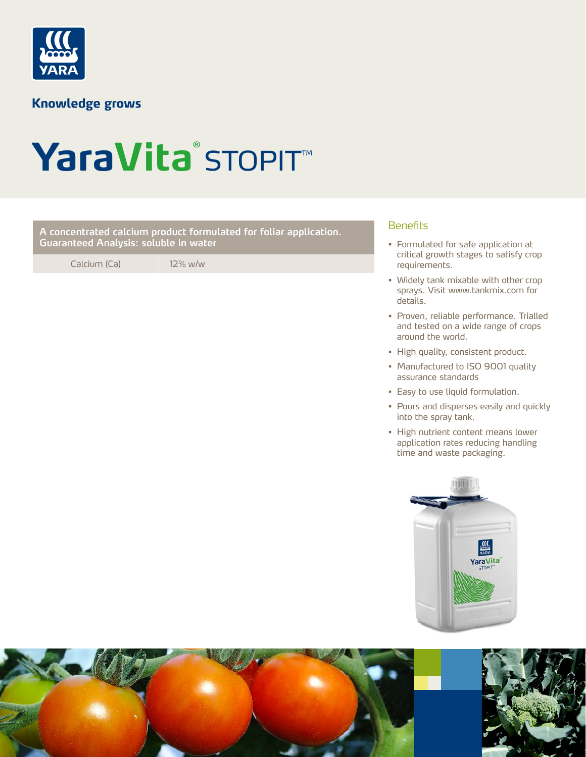

**Knowledge grows** 

# YaraVita<sup>®</sup> STOPIT™

Benefits **A concentrated calcium product formulated for foliar application. Guaranteed Analysis: soluble in water**

Calcium (Ca) 12% w/w

- Formulated for safe application at critical growth stages to satisfy crop requirements.
- Widely tank mixable with other crop sprays. Visit www.tankmix.com for details.
- Proven, reliable performance. Trialled and tested on a wide range of crops around the world.
- High quality, consistent product.
- Manufactured to ISO 9001 quality assurance standards
- Easy to use liquid formulation.
- Pours and disperses easily and quickly into the spray tank.
- High nutrient content means lower application rates reducing handling time and waste packaging.